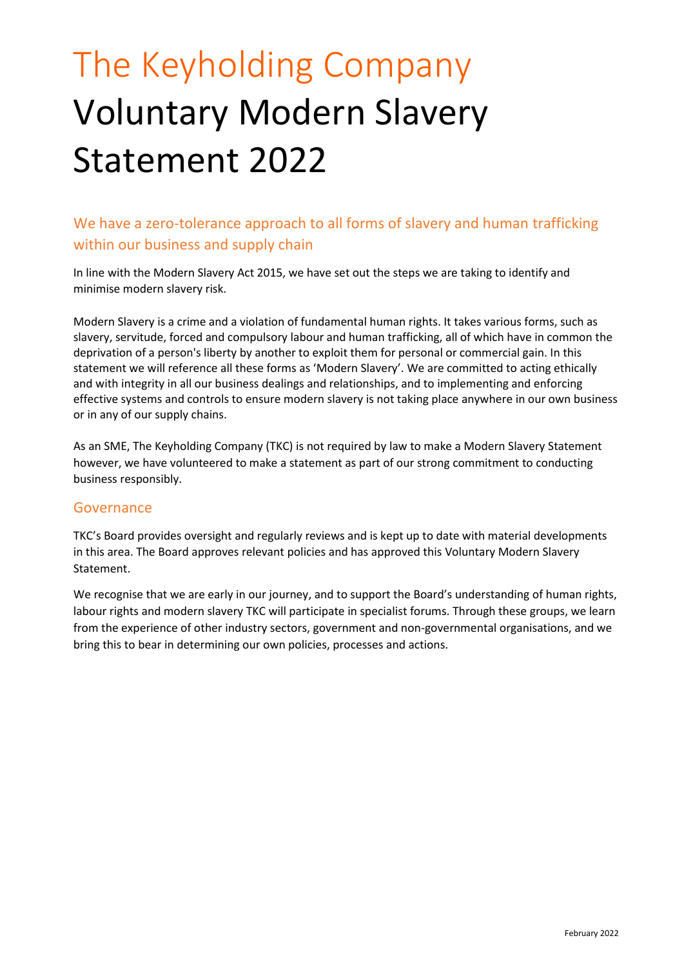# The Keyholding Company Voluntary Modern Slavery Statement 2022

We have a zero-tolerance approach to all forms of slavery and human trafficking within our business and supply chain

In line with the Modern Slavery Act 2015, we have set out the steps we are taking to identify and minimise modern slavery risk.

Modern Slavery is a crime and a violation of fundamental human rights. It takes various forms, such as slavery, servitude, forced and compulsory labour and human trafficking, all of which have in common the deprivation of a person's liberty by another to exploit them for personal or commercial gain. In this statement we will reference all these forms as 'Modern Slavery'. We are committed to acting ethically and with integrity in all our business dealings and relationships, and to implementing and enforcing effective systems and controls to ensure modern slavery is not taking place anywhere in our own business or in any of our supply chains.

As an SME, The Keyholding Company (TKC) is not required by law to make a Modern Slavery Statement however, we have volunteered to make a statement as part of our strong commitment to conducting business responsibly.

#### Governance

TKC's Board provides oversight and regularly reviews and is kept up to date with material developments in this area. The Board approves relevant policies and has approved this Voluntary Modern Slavery **Statement** 

We recognise that we are early in our journey, and to support the Board's understanding of human rights, labour rights and modern slavery TKC will participate in specialist forums. Through these groups, we learn from the experience of other industry sectors, government and non-governmental organisations, and we bring this to bear in determining our own policies, processes and actions.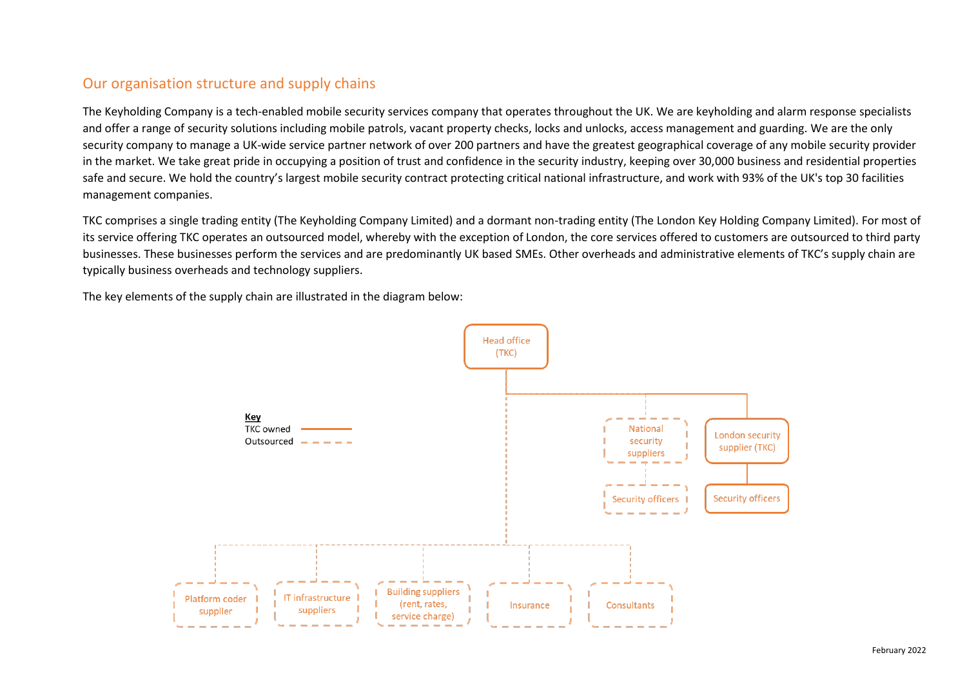## Our organisation structure and supply chains

The Keyholding Company is a tech-enabled mobile security services company that operates throughout the UK. We are keyholding and alarm response specialists and offer a range of security solutions including mobile patrols, vacant property checks, locks and unlocks, access management and guarding. We are the only security company to manage a UK-wide service partner network of over 200 partners and have the greatest geographical coverage of any mobile security provider in the market. We take great pride in occupying a position of trust and confidence in the security industry, keeping over 30,000 business and residential properties safe and secure. We hold the country's largest mobile security contract protecting critical national infrastructure, and work with 93% of the UK's top 30 facilities management companies.

TKC comprises a single trading entity (The Keyholding Company Limited) and a dormant non-trading entity (The London Key Holding Company Limited). For most of its service offering TKC operates an outsourced model, whereby with the exception of London, the core services offered to customers are outsourced to third party businesses. These businesses perform the services and are predominantly UK based SMEs. Other overheads and administrative elements of TKC's supply chain are typically business overheads and technology suppliers.

The key elements of the supply chain are illustrated in the diagram below:

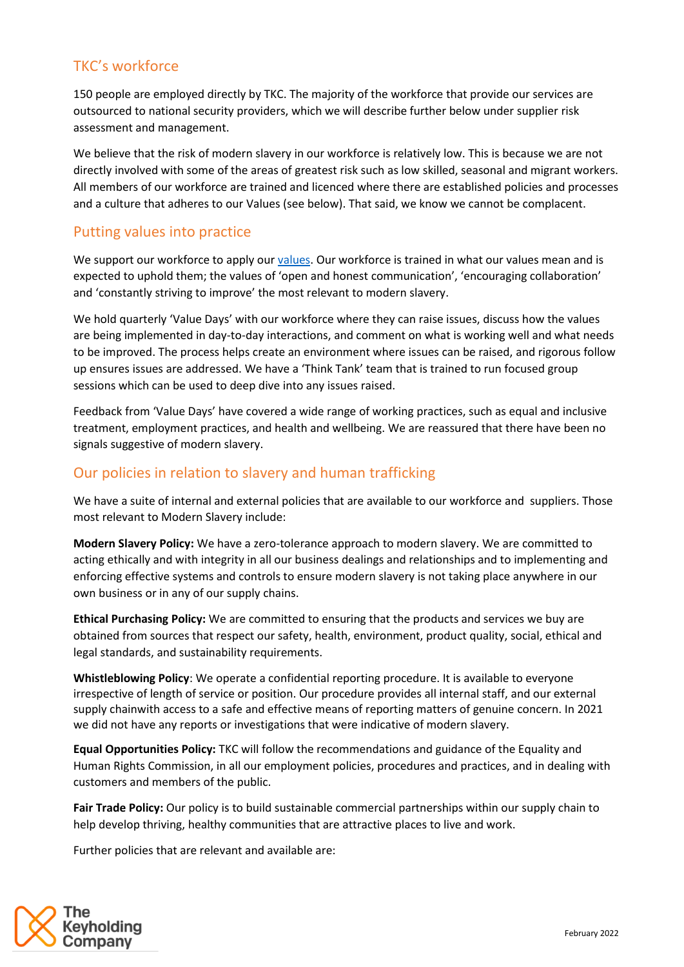# TKC's workforce

150 people are employed directly by TKC. The majority of the workforce that provide our services are outsourced to national security providers, which we will describe further below under supplier risk assessment and management.

We believe that the risk of modern slavery in our workforce is relatively low. This is because we are not directly involved with some of the areas of greatest risk such as low skilled, seasonal and migrant workers. All members of our workforce are trained and licenced where there are established policies and processes and a culture that adheres to our Values (see below). That said, we know we cannot be complacent.

## Putting values into practice

We support our workforce to apply ou[r values.](https://www.keyholding.com/about-us/our-culture/) Our workforce is trained in what our values mean and is expected to uphold them; the values of 'open and honest communication', 'encouraging collaboration' and 'constantly striving to improve' the most relevant to modern slavery.

We hold quarterly 'Value Days' with our workforce where they can raise issues, discuss how the values are being implemented in day-to-day interactions, and comment on what is working well and what needs to be improved. The process helps create an environment where issues can be raised, and rigorous follow up ensures issues are addressed. We have a 'Think Tank' team that is trained to run focused group sessions which can be used to deep dive into any issues raised.

Feedback from 'Value Days' have covered a wide range of working practices, such as equal and inclusive treatment, employment practices, and health and wellbeing. We are reassured that there have been no signals suggestive of modern slavery.

# Our policies in relation to slavery and human trafficking

We have a suite of internal and external policies that are available to our workforce and suppliers. Those most relevant to Modern Slavery include:

**Modern Slavery Policy:** We have a zero-tolerance approach to modern slavery. We are committed to acting ethically and with integrity in all our business dealings and relationships and to implementing and enforcing effective systems and controls to ensure modern slavery is not taking place anywhere in our own business or in any of our supply chains.

**Ethical Purchasing Policy:** We are committed to ensuring that the products and services we buy are obtained from sources that respect our safety, health, environment, product quality, social, ethical and legal standards, and sustainability requirements.

**Whistleblowing Policy**: We operate a confidential reporting procedure. It is available to everyone irrespective of length of service or position. Our procedure provides all internal staff, and our external supply chainwith access to a safe and effective means of reporting matters of genuine concern. In 2021 we did not have any reports or investigations that were indicative of modern slavery.

**Equal Opportunities Policy:** TKC will follow the recommendations and guidance of the Equality and Human Rights Commission, in all our employment policies, procedures and practices, and in dealing with customers and members of the public.

**Fair Trade Policy:** Our policy is to build sustainable commercial partnerships within our supply chain to help develop thriving, healthy communities that are attractive places to live and work.

Further policies that are relevant and available are:

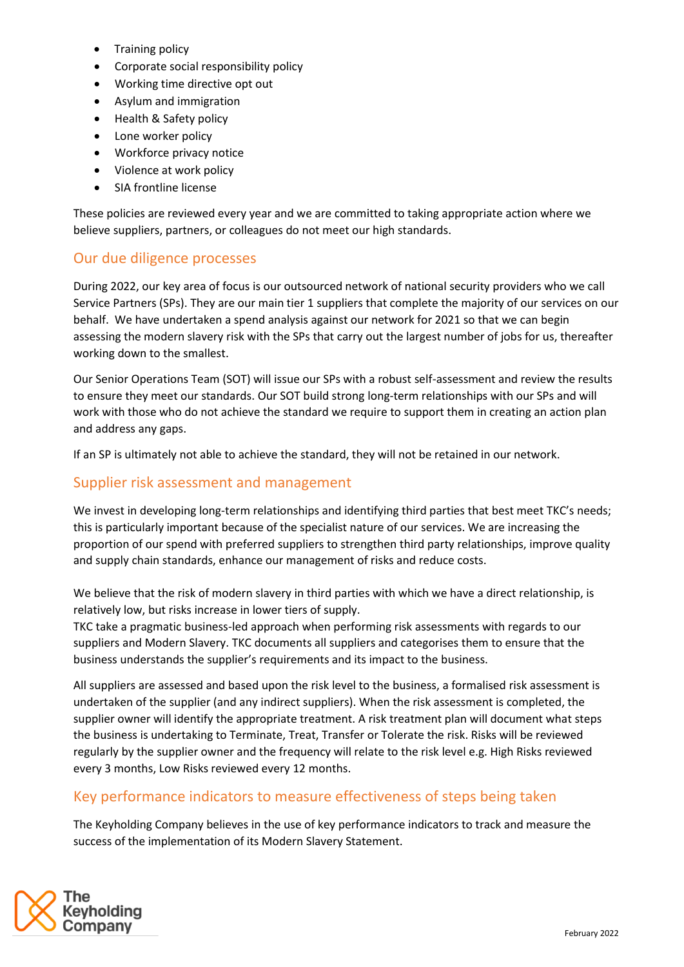- Training policy
- Corporate social responsibility policy
- Working time directive opt out
- Asylum and immigration
- Health & Safety policy
- Lone worker policy
- Workforce privacy notice
- Violence at work policy
- SIA frontline license

These policies are reviewed every year and we are committed to taking appropriate action where we believe suppliers, partners, or colleagues do not meet our high standards.

#### Our due diligence processes

During 2022, our key area of focus is our outsourced network of national security providers who we call Service Partners (SPs). They are our main tier 1 suppliers that complete the majority of our services on our behalf. We have undertaken a spend analysis against our network for 2021 so that we can begin assessing the modern slavery risk with the SPs that carry out the largest number of jobs for us, thereafter working down to the smallest.

Our Senior Operations Team (SOT) will issue our SPs with a robust self-assessment and review the results to ensure they meet our standards. Our SOT build strong long-term relationships with our SPs and will work with those who do not achieve the standard we require to support them in creating an action plan and address any gaps.

If an SP is ultimately not able to achieve the standard, they will not be retained in our network.

### Supplier risk assessment and management

We invest in developing long-term relationships and identifying third parties that best meet TKC's needs; this is particularly important because of the specialist nature of our services. We are increasing the proportion of our spend with preferred suppliers to strengthen third party relationships, improve quality and supply chain standards, enhance our management of risks and reduce costs.

We believe that the risk of modern slavery in third parties with which we have a direct relationship, is relatively low, but risks increase in lower tiers of supply.

TKC take a pragmatic business-led approach when performing risk assessments with regards to our suppliers and Modern Slavery. TKC documents all suppliers and categorises them to ensure that the business understands the supplier's requirements and its impact to the business.

All suppliers are assessed and based upon the risk level to the business, a formalised risk assessment is undertaken of the supplier (and any indirect suppliers). When the risk assessment is completed, the supplier owner will identify the appropriate treatment. A risk treatment plan will document what steps the business is undertaking to Terminate, Treat, Transfer or Tolerate the risk. Risks will be reviewed regularly by the supplier owner and the frequency will relate to the risk level e.g. High Risks reviewed every 3 months, Low Risks reviewed every 12 months.

## Key performance indicators to measure effectiveness of steps being taken

The Keyholding Company believes in the use of key performance indicators to track and measure the success of the implementation of its Modern Slavery Statement.